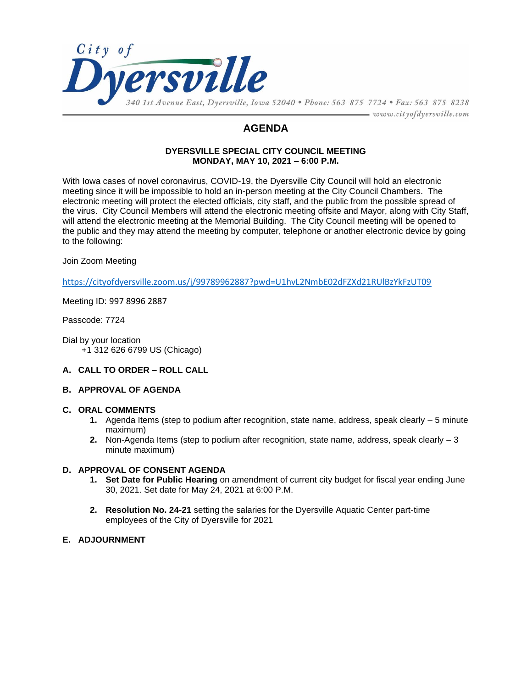

## **AGENDA**

#### **DYERSVILLE SPECIAL CITY COUNCIL MEETING MONDAY, MAY 10, 2021 – 6:00 P.M.**

With Iowa cases of novel coronavirus, COVID-19, the Dyersville City Council will hold an electronic meeting since it will be impossible to hold an in-person meeting at the City Council Chambers. The electronic meeting will protect the elected officials, city staff, and the public from the possible spread of the virus. City Council Members will attend the electronic meeting offsite and Mayor, along with City Staff, will attend the electronic meeting at the Memorial Building. The City Council meeting will be opened to the public and they may attend the meeting by computer, telephone or another electronic device by going to the following:

#### Join Zoom Meeting

<https://cityofdyersville.zoom.us/j/99789962887?pwd=U1hvL2NmbE02dFZXd21RUlBzYkFzUT09>

Meeting ID: 997 8996 2887

Passcode: 7724

Dial by your location +1 312 626 6799 US (Chicago)

#### **A. CALL TO ORDER – ROLL CALL**

#### **B. APPROVAL OF AGENDA**

#### **C. ORAL COMMENTS**

- **1.** Agenda Items (step to podium after recognition, state name, address, speak clearly 5 minute maximum)
- **2.** Non-Agenda Items (step to podium after recognition, state name, address, speak clearly 3 minute maximum)

#### **D. APPROVAL OF CONSENT AGENDA**

- **1. Set Date for Public Hearing** on amendment of current city budget for fiscal year ending June 30, 2021. Set date for May 24, 2021 at 6:00 P.M.
- **2. Resolution No. 24-21** setting the salaries for the Dyersville Aquatic Center part-time employees of the City of Dyersville for 2021

#### **E. ADJOURNMENT**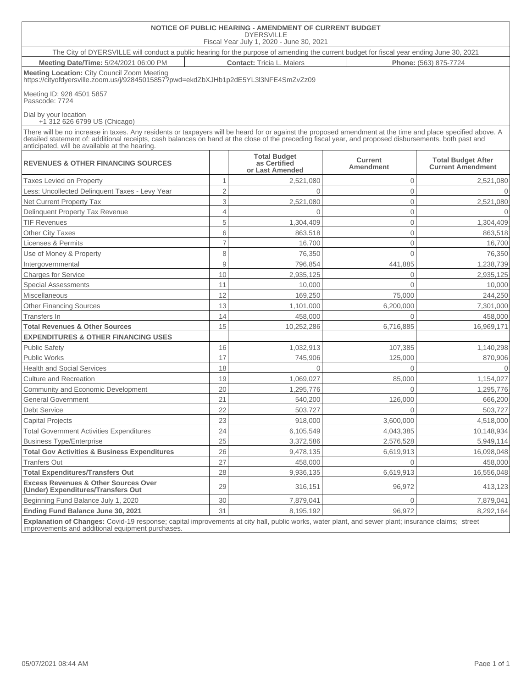| NOTICE OF PUBLIC HEARING - AMENDMENT OF CURRENT BUDGET<br><b>DYERSVILLE</b><br>Fiscal Year July 1, 2020 - June 30, 2021                                                                                                                                                                                                                                                 |                |                                                        |                                    |                                                       |  |  |  |  |  |
|-------------------------------------------------------------------------------------------------------------------------------------------------------------------------------------------------------------------------------------------------------------------------------------------------------------------------------------------------------------------------|----------------|--------------------------------------------------------|------------------------------------|-------------------------------------------------------|--|--|--|--|--|
| The City of DYERSVILLE will conduct a public hearing for the purpose of amending the current budget for fiscal year ending June 30, 2021                                                                                                                                                                                                                                |                |                                                        |                                    |                                                       |  |  |  |  |  |
| Meeting Date/Time: 5/24/2021 06:00 PM<br><b>Contact: Tricia L. Maiers</b><br>Phone: (563) 875-7724                                                                                                                                                                                                                                                                      |                |                                                        |                                    |                                                       |  |  |  |  |  |
| Meeting Location: City Council Zoom Meeting<br>https://cityofdyersville.zoom.us/j/92845015857?pwd=ekdZbXJHb1p2dE5YL3l3NFE4SmZvZz09                                                                                                                                                                                                                                      |                |                                                        |                                    |                                                       |  |  |  |  |  |
| Meeting ID: 928 4501 5857<br>Passcode: 7724                                                                                                                                                                                                                                                                                                                             |                |                                                        |                                    |                                                       |  |  |  |  |  |
| Dial by your location<br>$+1$ 312 626 6799 US (Chicago)                                                                                                                                                                                                                                                                                                                 |                |                                                        |                                    |                                                       |  |  |  |  |  |
| There will be no increase in taxes. Any residents or taxpayers will be heard for or against the proposed amendment at the time and place specified above. A<br>detailed statement of: additional receipts, cash balances on hand at the close of the preceding fiscal year, and proposed disbursements, both past and<br>anticipated, will be available at the hearing. |                |                                                        |                                    |                                                       |  |  |  |  |  |
| <b>REVENUES &amp; OTHER FINANCING SOURCES</b>                                                                                                                                                                                                                                                                                                                           |                | <b>Total Budget</b><br>as Certified<br>or Last Amended | <b>Current</b><br><b>Amendment</b> | <b>Total Budget After</b><br><b>Current Amendment</b> |  |  |  |  |  |
| <b>Taxes Levied on Property</b>                                                                                                                                                                                                                                                                                                                                         | $\mathbf{1}$   | 2,521,080                                              | $\mathbf{0}$                       | 2,521,080                                             |  |  |  |  |  |
| Less: Uncollected Delinquent Taxes - Levy Year                                                                                                                                                                                                                                                                                                                          | $\overline{2}$ | $\Omega$                                               | $\overline{0}$                     | $\Omega$                                              |  |  |  |  |  |
| Net Current Property Tax                                                                                                                                                                                                                                                                                                                                                | $\,$ 3         | 2,521,080                                              | $\overline{0}$                     | 2,521,080                                             |  |  |  |  |  |
| Delinquent Property Tax Revenue                                                                                                                                                                                                                                                                                                                                         | $\overline{4}$ | $\Omega$                                               | $\overline{0}$                     | $\Omega$                                              |  |  |  |  |  |
| <b>TIF Revenues</b>                                                                                                                                                                                                                                                                                                                                                     | 5              | 1,304,409                                              | $\overline{0}$                     | 1,304,409                                             |  |  |  |  |  |
| <b>Other City Taxes</b>                                                                                                                                                                                                                                                                                                                                                 | 6              | 863,518                                                | $\overline{0}$                     | 863,518                                               |  |  |  |  |  |
| Licenses & Permits                                                                                                                                                                                                                                                                                                                                                      | $\overline{7}$ | 16,700                                                 | $\overline{0}$                     | 16,700                                                |  |  |  |  |  |
| Use of Money & Property                                                                                                                                                                                                                                                                                                                                                 | 8              | 76,350                                                 | $\Omega$                           | 76,350                                                |  |  |  |  |  |
| Intergovernmental                                                                                                                                                                                                                                                                                                                                                       | 9              | 796,854                                                | 441,885                            | 1,238,739                                             |  |  |  |  |  |
| <b>Charges for Service</b>                                                                                                                                                                                                                                                                                                                                              | 10             | 2,935,125                                              | $\overline{0}$                     | 2,935,125                                             |  |  |  |  |  |
| <b>Special Assessments</b>                                                                                                                                                                                                                                                                                                                                              | 11             | 10,000                                                 | $\Omega$                           | 10,000                                                |  |  |  |  |  |
| <b>Miscellaneous</b>                                                                                                                                                                                                                                                                                                                                                    | 12             | 169,250                                                | 75,000                             | 244,250                                               |  |  |  |  |  |
| <b>Other Financing Sources</b>                                                                                                                                                                                                                                                                                                                                          | 13             | 1,101,000                                              | 6,200,000                          | 7,301,000                                             |  |  |  |  |  |
| Transfers In                                                                                                                                                                                                                                                                                                                                                            | 14             | 458,000                                                | $\Omega$                           | 458,000                                               |  |  |  |  |  |
| <b>Total Revenues &amp; Other Sources</b>                                                                                                                                                                                                                                                                                                                               | 15             | 10,252,286                                             | 6,716,885                          | 16,969,171                                            |  |  |  |  |  |
| <b>EXPENDITURES &amp; OTHER FINANCING USES</b>                                                                                                                                                                                                                                                                                                                          |                |                                                        |                                    |                                                       |  |  |  |  |  |
| <b>Public Safety</b>                                                                                                                                                                                                                                                                                                                                                    | 16             | 1,032,913                                              | 107,385                            | 1,140,298                                             |  |  |  |  |  |
| <b>Public Works</b>                                                                                                                                                                                                                                                                                                                                                     | 17             | 745,906                                                | 125,000                            | 870,906                                               |  |  |  |  |  |
| <b>Health and Social Services</b>                                                                                                                                                                                                                                                                                                                                       | 18             | $\Omega$                                               | $\Omega$                           | $\overline{0}$                                        |  |  |  |  |  |
| <b>Culture and Recreation</b>                                                                                                                                                                                                                                                                                                                                           | 19             | 1,069,027                                              | 85,000                             | 1,154,027                                             |  |  |  |  |  |
| Community and Economic Development                                                                                                                                                                                                                                                                                                                                      | 20             | 1,295,776                                              | $\Omega$                           | 1,295,776                                             |  |  |  |  |  |
| <b>General Government</b>                                                                                                                                                                                                                                                                                                                                               | 21             | 540,200                                                | 126,000                            | 666,200                                               |  |  |  |  |  |
| Debt Service                                                                                                                                                                                                                                                                                                                                                            | 22             | 503,727                                                | 0                                  | 503,727                                               |  |  |  |  |  |
| <b>Capital Projects</b>                                                                                                                                                                                                                                                                                                                                                 | 23             | 918,000                                                | 3,600,000                          | 4,518,000                                             |  |  |  |  |  |
| <b>Total Government Activities Expenditures</b>                                                                                                                                                                                                                                                                                                                         | 24             | 6,105,549                                              | 4,043,385                          | 10,148,934                                            |  |  |  |  |  |
| <b>Business Type/Enterprise</b>                                                                                                                                                                                                                                                                                                                                         | 25             | 3,372,586                                              | 2,576,528                          | 5,949,114                                             |  |  |  |  |  |
| <b>Total Gov Activities &amp; Business Expenditures</b>                                                                                                                                                                                                                                                                                                                 | 26             | 9,478,135                                              | 6,619,913                          | 16,098,048                                            |  |  |  |  |  |
| <b>Tranfers Out</b>                                                                                                                                                                                                                                                                                                                                                     | 27             | 458,000                                                | $\Omega$                           | 458,000                                               |  |  |  |  |  |
| <b>Total Expenditures/Transfers Out</b>                                                                                                                                                                                                                                                                                                                                 | 28             | 9,936,135                                              | 6,619,913                          | 16,556,048                                            |  |  |  |  |  |
| <b>Excess Revenues &amp; Other Sources Over</b><br>(Under) Expenditures/Transfers Out                                                                                                                                                                                                                                                                                   | 29             | 316,151                                                | 96,972                             | 413,123                                               |  |  |  |  |  |
| Beginning Fund Balance July 1, 2020                                                                                                                                                                                                                                                                                                                                     | 30             | 7,879,041                                              | $\Omega$                           | 7,879,041                                             |  |  |  |  |  |
| Ending Fund Balance June 30, 2021                                                                                                                                                                                                                                                                                                                                       | 31             | 8,195,192                                              | 96,972                             | 8,292,164                                             |  |  |  |  |  |

**Explanation of Changes:** Covid-19 response; capital improvements at city hall, public works, water plant, and sewer plant; insurance claims; street improvements and additional equipment purchases.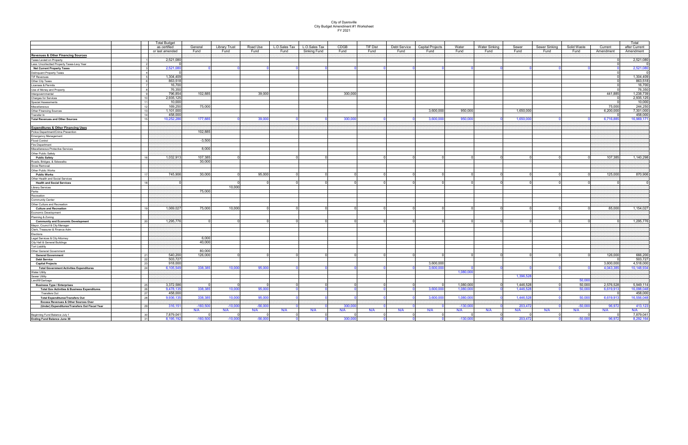# City of Dyersville City Budget Amendment #1 Worksheet FY 2021

|                                                                  | <b>Total Budget</b>      |            |                      |           |               |               |             |          |              |                         |            |                      |           |               |             |           | Total                 |  |
|------------------------------------------------------------------|--------------------------|------------|----------------------|-----------|---------------|---------------|-------------|----------|--------------|-------------------------|------------|----------------------|-----------|---------------|-------------|-----------|-----------------------|--|
|                                                                  | as certified             | General    | <b>Library Trust</b> | Road Use  | L.O.Sales Tax | L.O.Sales Tax | <b>CDGB</b> | TIF Dist | Debt Service | <b>Capital Projects</b> | Water      | <b>Water Sinking</b> | Sewer     | Sewer Sinking | Solid Waste | Current   | after Current         |  |
|                                                                  | or last amended          | Fund       | Fund                 | Fund      | Fund          | Sinking Fund  | Fund        | Fund     | Fund         | Fund                    | Fund       | Fund                 | Fund      | Fund          | Fund        | Amendment | Amendment             |  |
| <b>Revenues &amp; Other Financing Sources</b>                    |                          |            |                      |           |               |               |             |          |              |                         |            |                      |           |               |             |           |                       |  |
| Taxes Levied on Property                                         | 2,521,080                |            |                      |           |               |               |             |          |              |                         |            |                      |           |               |             |           | 2,521,080             |  |
| Less: Uncollectted Property Taxes-Levy Year                      |                          |            |                      |           |               |               |             |          |              |                         |            |                      |           |               |             |           |                       |  |
| Net Current Property Taxes                                       | 2,521,08                 |            |                      |           |               |               |             |          |              |                         |            |                      |           |               |             |           | 2,521,080             |  |
| Delinquent Property Taxes                                        |                          |            |                      |           |               |               |             |          |              |                         |            |                      |           |               |             |           |                       |  |
| <b>TIF Revenues</b>                                              | 1,304,409                |            |                      |           |               |               |             |          |              |                         |            |                      |           |               |             |           | 1,304,409             |  |
| Other City Taxes                                                 | 863,518                  |            |                      |           |               |               |             |          |              |                         |            |                      |           |               |             |           | 863,518               |  |
| Licenses & Permits                                               | 16,700                   |            |                      |           |               |               |             |          |              |                         |            |                      |           |               |             |           | 16,700                |  |
| Use of Money and Property                                        | 76,350                   |            |                      |           |               |               |             |          |              |                         |            |                      |           |               |             |           | 76,350                |  |
| Intergovernmental                                                | 796,854                  | 102,885    |                      | 39,000    |               |               | 300,000     |          |              |                         |            |                      |           |               |             | 441,885   | 1,238,739             |  |
| Charges for Services                                             | 2,935,125                |            |                      |           |               |               |             |          |              |                         |            |                      |           |               |             |           | 2,935,125             |  |
| Special Assessments                                              | 10,000<br>11             |            |                      |           |               |               |             |          |              |                         |            |                      |           |               |             |           | 10,000                |  |
| Miscellaneous                                                    | 169,250<br>$\rightarrow$ | 75,000     |                      |           |               |               |             |          |              |                         |            |                      |           |               |             | 75,000    | 244,250               |  |
| Other Financing Sources                                          | 1,101,000                |            |                      |           |               |               |             |          |              | 3,600,000               | 950,000    |                      | 1,650,000 |               |             | 6,200,000 | 7,301,000             |  |
| Transfer In                                                      | 458,000<br>14            |            |                      |           |               |               |             |          |              |                         |            |                      |           |               |             |           | 458,000               |  |
| <b>Total Revenues and Other Sources</b>                          | 10,252,2                 | 177,88     |                      | 39,00     |               |               | 300.0       |          |              | 3.600.00                | 950,00     |                      | 1.650.00  |               |             | 6,716,88  | 16,969,171            |  |
|                                                                  |                          |            |                      |           |               |               |             |          |              |                         |            |                      |           |               |             |           |                       |  |
| <b>Expenditures &amp; Other Financing Uses</b>                   |                          |            |                      |           |               |               |             |          |              |                         |            |                      |           |               |             |           |                       |  |
| Police Department/Crime Prevention                               |                          | 102.885    |                      |           |               |               |             |          |              |                         |            |                      |           |               |             |           |                       |  |
| Emergency Management                                             |                          |            |                      |           |               |               |             |          |              |                         |            |                      |           |               |             |           |                       |  |
| Flood Control                                                    |                          | $-3,500$   |                      |           |               |               |             |          |              |                         |            |                      |           |               |             |           |                       |  |
| Fire Department                                                  |                          |            |                      |           |               |               |             |          |              |                         |            |                      |           |               |             |           |                       |  |
| Miscellaneous Protective Services                                |                          | 8.000      |                      |           |               |               |             |          |              |                         |            |                      |           |               |             |           |                       |  |
| Other Public Safety                                              |                          |            |                      |           |               |               |             |          |              |                         |            |                      |           |               |             |           |                       |  |
| <b>Public Safety</b>                                             | 1,032,91                 | 107,385    |                      |           |               |               |             |          |              |                         |            |                      |           |               |             | 107,385   | 1,140,298             |  |
| Roads, Bridges, & Sidewalks                                      |                          | 30,000     |                      |           |               |               |             |          |              |                         |            |                      |           |               |             |           |                       |  |
| Snow Removal                                                     |                          |            |                      |           |               |               |             |          |              |                         |            |                      |           |               |             |           |                       |  |
| Other Public Works                                               |                          |            |                      |           |               |               |             |          |              |                         |            |                      |           |               |             |           |                       |  |
| <b>Public Works</b>                                              | 745,906                  | 30,000     |                      | 95,000    |               |               |             |          |              |                         |            |                      |           |               |             | 125,000   | 870,906               |  |
| Other Health and Social Services                                 |                          |            |                      |           |               |               |             |          |              |                         |            |                      |           |               |             |           |                       |  |
| <b>Health and Social Services</b>                                |                          |            |                      |           |               |               |             |          |              |                         |            |                      |           |               |             |           |                       |  |
| Library Services                                                 |                          |            | 10.000               |           |               |               |             |          |              |                         |            |                      |           |               |             |           |                       |  |
| Parks                                                            |                          | 75,000     |                      |           |               |               |             |          |              |                         |            |                      |           |               |             |           |                       |  |
| Recreation                                                       |                          |            |                      |           |               |               |             |          |              |                         |            |                      |           |               |             |           |                       |  |
| Community Center                                                 |                          |            |                      |           |               |               |             |          |              |                         |            |                      |           |               |             |           |                       |  |
| Other Culture and Recreation                                     |                          |            |                      |           |               |               |             |          |              |                         |            |                      |           |               |             |           |                       |  |
| <b>Culture and Recreation</b>                                    | 1.069.027                | 75,000     | 10.000               |           |               |               |             |          |              |                         |            |                      |           |               |             | 85,000    | 1,154,027             |  |
| Economic Development                                             |                          |            |                      |           |               |               |             |          |              |                         |            |                      |           |               |             |           |                       |  |
| Planning & Zoning                                                | 20                       |            |                      |           |               |               |             |          |              |                         |            |                      |           |               |             |           |                       |  |
| <b>Community and Economic Development</b>                        | 1,295,776                |            |                      |           |               |               |             |          |              |                         |            |                      |           |               |             |           | 1,295,776             |  |
| Mayor, Council & City Manager<br>Clerk, Treasurer & Finance Adm. |                          |            |                      |           |               |               |             |          |              |                         |            |                      |           |               |             |           |                       |  |
|                                                                  |                          |            |                      |           |               |               |             |          |              |                         |            |                      |           |               |             |           |                       |  |
| Elections                                                        |                          | 6,000      |                      |           |               |               |             |          |              |                         |            |                      |           |               |             |           |                       |  |
| Legal Services & City Attorney                                   |                          | 40,000     |                      |           |               |               |             |          |              |                         |            |                      |           |               |             |           |                       |  |
| City Hall & General Buildings<br><b>Tort Liability</b>           |                          |            |                      |           |               |               |             |          |              |                         |            |                      |           |               |             |           |                       |  |
|                                                                  |                          | 80.000     |                      |           |               |               |             |          |              |                         |            |                      |           |               |             |           |                       |  |
| Other General Government<br><b>General Government</b>            | 540,200<br>21            | 126,000    |                      |           |               |               |             |          |              |                         |            |                      |           |               |             | 126,000   | 666,200               |  |
| <b>Debt Service</b>                                              | 503,727                  |            |                      |           |               |               |             |          |              |                         |            |                      |           |               |             |           | 503,727               |  |
| <b>Capital Projects</b>                                          | 918,000<br>2.5           |            |                      |           |               |               |             |          |              | 3,600,000               |            |                      |           |               |             | 3,600,000 | 4,518,000             |  |
| <b>Total Government Activities Expenditures</b>                  | 6.105.54<br>24           | 338,38     | 10.00                | 95,000    |               |               |             |          |              | 3,600,00                |            |                      |           |               |             | 4,043,3   | 10,148,934            |  |
| <b>Water Utility</b>                                             |                          |            |                      |           |               |               |             |          |              |                         | 1,080,000  |                      |           |               |             |           |                       |  |
| Sewer Utility                                                    |                          |            |                      |           |               |               |             |          |              |                         |            |                      | 1.396.52  |               |             |           |                       |  |
| Landfill/Garbage                                                 |                          |            |                      |           |               |               |             |          |              |                         |            |                      |           |               | 50,000      |           |                       |  |
| <b>Business Type / Enterprises</b>                               | 3,372,586                |            |                      |           |               |               |             |          |              |                         | 1.080.000  |                      | 1.446.52  |               | 50,000      | 2,576,528 | 5,949,114             |  |
| <b>Total Gov Activities &amp; Business Expenditures</b>          | 9,478,13<br>26           | 338,38     | 10,000               | 95,000    |               |               |             |          |              | 3,600,00                | 1,080,00   |                      | 1,446,52  |               | 50,00       | 6,619,91  | 16,098,048            |  |
| Transfers Out                                                    | 458,000<br>27            |            |                      |           |               |               |             |          |              |                         |            |                      |           |               |             |           | 458,000               |  |
| <b>Total Expenditures/Transfers Out</b>                          | 9,936,13<br>28           | 338,385    | 10,000               | 95,000    |               |               |             |          |              | 3,600,00                | 1,080,00   |                      | 1,446,52  |               | 50,000      | 6,619,91  | 16.556.048            |  |
| <b>Excess Revenues &amp; Other Sources Over</b>                  |                          |            |                      |           |               |               |             |          |              |                         |            |                      |           |               |             |           |                       |  |
| (Under) Expenditures/Transfers Out Fiscal Year                   | 316,15<br>$\overline{2}$ | $-160,500$ | $-10,00$             | $-56,00$  |               |               | 300.0       |          |              |                         | $-130.00$  |                      | 203,47    |               | $-50,00$    | 96,972    | 413,123               |  |
|                                                                  |                          | N/A        | N/A                  | N/A       | N/A           | N/A           | N/A         | N/A      | N/A          | N/A                     | N/A        | N/A                  | N/A       | N/A           | N/A         | N/A       | N/A                   |  |
| Beginning Fund Balance July 1                                    | 7,879,04<br>30           |            |                      |           |               |               |             |          |              |                         |            |                      |           |               |             |           | 7,879,041<br>$\Omega$ |  |
| <b>Ending Fund Balance June 30</b>                               | 31<br>8.195.192          | $-160.500$ | $-10.000$            | $-56,000$ |               |               | 300.0       |          |              |                         | $-130.000$ |                      | 203,472   |               | $-50.000$   | 96,972    | 8,292,164             |  |
|                                                                  |                          |            |                      |           |               |               |             |          |              |                         |            |                      |           |               |             |           |                       |  |